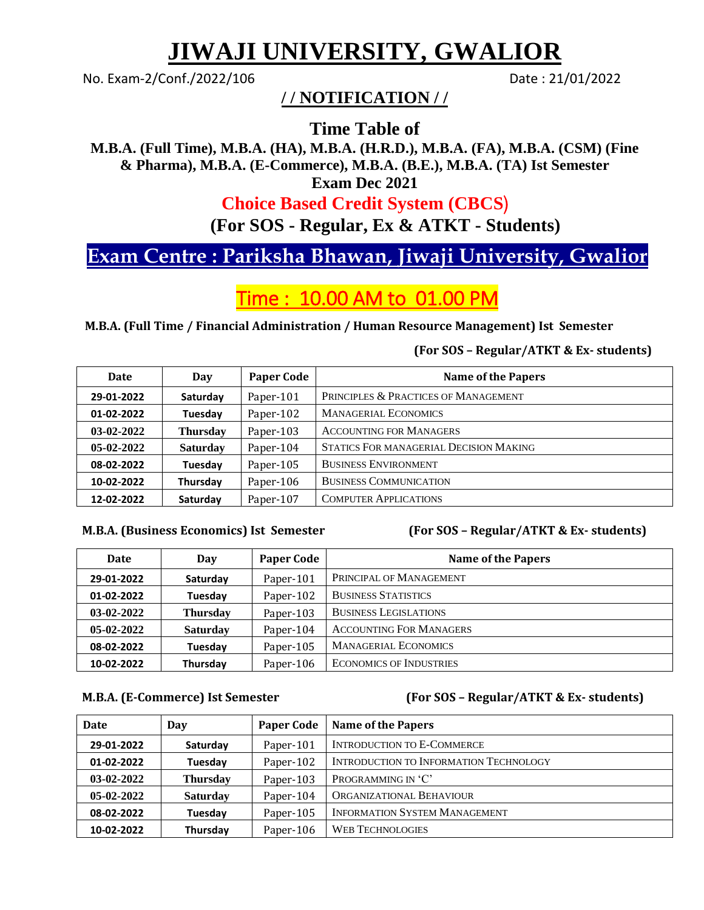# **JIWAJI UNIVERSITY, GWALIOR**

No. Exam-2/Conf./2022/106 Date: 21/01/2022

## **/ / NOTIFICATION / /**

**Time Table of**

**M.B.A. (Full Time), M.B.A. (HA), M.B.A. (H.R.D.), M.B.A. (FA), M.B.A. (CSM) (Fine & Pharma), M.B.A. (E-Commerce), M.B.A. (B.E.), M.B.A. (TA) Ist Semester Exam Dec 2021** 

## **Choice Based Credit System (CBCS**½

**(For SOS - Regular, Ex & ATKT - Students)**

## **Exam Centre : Pariksha Bhawan, Jiwaji University, Gwalior**

## Time : 10.00 AM to 01.00 PM

**M.B.A. (Full Time / Financial Administration / Human Resource Management) Ist Semester** 

### **(For SOS – Regular/ATKT & Ex- students)**

| <b>Date</b>  | Day             | <b>Paper Code</b> | <b>Name of the Papers</b>              |
|--------------|-----------------|-------------------|----------------------------------------|
| 29-01-2022   | Saturday        | Paper-101         | PRINCIPLES & PRACTICES OF MANAGEMENT   |
| 01-02-2022   | Tuesday         | Paper-102         | <b>MANAGERIAL ECONOMICS</b>            |
| $03-02-2022$ | <b>Thursday</b> | Paper-103         | <b>ACCOUNTING FOR MANAGERS</b>         |
| $05-02-2022$ | <b>Saturday</b> | Paper-104         | STATICS FOR MANAGERIAL DECISION MAKING |
| 08-02-2022   | Tuesday         | Paper-105         | <b>BUSINESS ENVIRONMENT</b>            |
| 10-02-2022   | Thursday        | Paper-106         | <b>BUSINESS COMMUNICATION</b>          |
| 12-02-2022   | Saturday        | Paper-107         | <b>COMPUTER APPLICATIONS</b>           |

### **M.B.A. (Business Economics) Ist Semester (For SOS – Regular/ATKT & Ex- students)**

| <b>Date</b>  | Day             | <b>Paper Code</b> | <b>Name of the Papers</b>      |
|--------------|-----------------|-------------------|--------------------------------|
| 29-01-2022   | Saturday        | Paper-101         | PRINCIPAL OF MANAGEMENT        |
| 01-02-2022   | Tuesday         | Paper-102         | <b>BUSINESS STATISTICS</b>     |
| $03-02-2022$ | <b>Thursday</b> | Paper-103         | <b>BUSINESS LEGISLATIONS</b>   |
| $05-02-2022$ | <b>Saturday</b> | Paper-104         | <b>ACCOUNTING FOR MANAGERS</b> |
| 08-02-2022   | Tuesday         | Paper-105         | <b>MANAGERIAL ECONOMICS</b>    |
| 10-02-2022   | Thursday        | Paper-106         | <b>ECONOMICS OF INDUSTRIES</b> |

### **M.B.A. (E-Commerce) Ist Semester (For SOS – Regular/ATKT & Ex- students)**

| Date         | Day             | <b>Paper Code</b> | Name of the Papers                            |
|--------------|-----------------|-------------------|-----------------------------------------------|
| 29-01-2022   | Saturday        | Paper-101         | <b>INTRODUCTION TO E-COMMERCE</b>             |
| 01-02-2022   | Tuesday         | Paper-102         | <b>INTRODUCTION TO INFORMATION TECHNOLOGY</b> |
| $03-02-2022$ | <b>Thursday</b> | Paper-103         | PROGRAMMING IN 'C'                            |
| $05-02-2022$ | <b>Saturday</b> | Paper-104         | ORGANIZATIONAL BEHAVIOUR                      |
| 08-02-2022   | Tuesday         | Paper-105         | <b>INFORMATION SYSTEM MANAGEMENT</b>          |
| 10-02-2022   | Thursday        | Paper-106         | <b>WEB TECHNOLOGIES</b>                       |